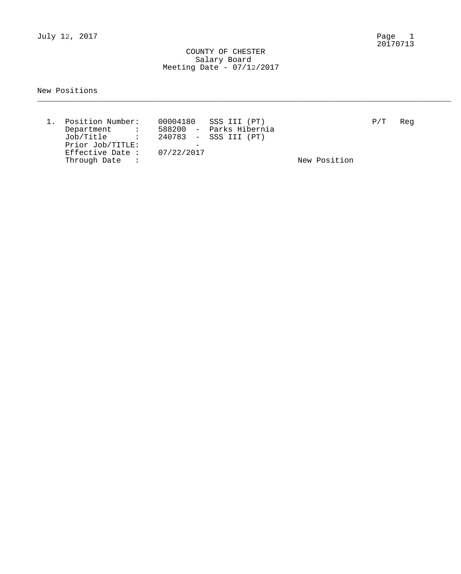July 12, 2017

Page 1<br>20170713

### COUNTY OF CHESTER Salary Board Meeting Date - 07/12/2017

### New Positions

| Position Number:                                                          | 00004180 SSS III (PT)   |              | P/T | Reg |
|---------------------------------------------------------------------------|-------------------------|--------------|-----|-----|
| Department<br>$\mathcal{L}_{\text{max}}$ and $\mathcal{L}_{\text{max}}$ . | 588200 - Parks Hibernia |              |     |     |
| Job/Title :                                                               | 240783 - SSS III (PT)   |              |     |     |
| Prior Job/TITLE:                                                          |                         |              |     |     |
| Effective Date: $07/22/2017$                                              |                         |              |     |     |
| Through Date :                                                            |                         | New Position |     |     |

\_\_\_\_\_\_\_\_\_\_\_\_\_\_\_\_\_\_\_\_\_\_\_\_\_\_\_\_\_\_\_\_\_\_\_\_\_\_\_\_\_\_\_\_\_\_\_\_\_\_\_\_\_\_\_\_\_\_\_\_\_\_\_\_\_\_\_\_\_\_\_\_\_\_\_\_\_\_\_\_\_\_\_\_\_\_\_\_\_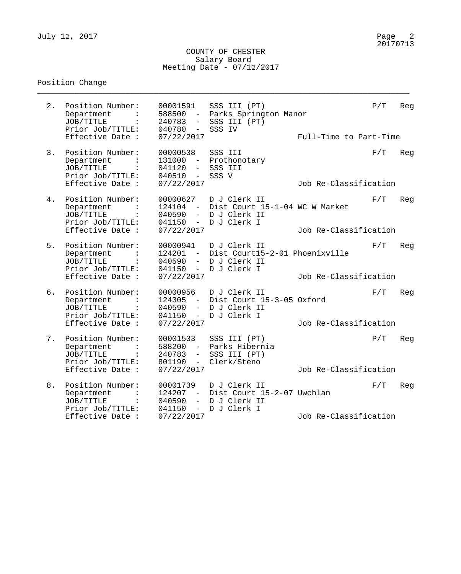### COUNTY OF CHESTER Salary Board Meeting Date - 07/12/2017

\_\_\_\_\_\_\_\_\_\_\_\_\_\_\_\_\_\_\_\_\_\_\_\_\_\_\_\_\_\_\_\_\_\_\_\_\_\_\_\_\_\_\_\_\_\_\_\_\_\_\_\_\_\_\_\_\_\_\_\_\_\_\_\_\_\_\_\_\_\_\_\_\_\_\_\_\_\_\_\_

# Position Change

| 2. | Position Number:<br>Department<br>JOB/TITLE<br>Prior Job/TITLE:<br>Effective Date :                    | 00001591<br>588500<br>240783<br>$\frac{1}{2}$<br>040780<br>$\sim$<br>07/22/2017                                      | SSS III (PT)<br>- Parks Springton Manor<br>SSS III (PT)<br>SSS IV                          | Full-Time to Part-Time | P/T | Reg |
|----|--------------------------------------------------------------------------------------------------------|----------------------------------------------------------------------------------------------------------------------|--------------------------------------------------------------------------------------------|------------------------|-----|-----|
| 3. | Position Number:<br>Department<br>JOB/TITLE<br>Prior Job/TITLE:<br>Effective Date :                    | 00000538<br>041120<br>$\frac{1}{2}$<br>$040510 -$<br>07/22/2017                                                      | SSS III<br>131000 - Prothonotary<br>SSS III<br>SSS V                                       | Job Re-Classification  | F/T | Reg |
| 4. | Position Number:<br>Department<br>JOB/TITLE<br>$\ddot{\cdot}$<br>Prior Job/TITLE:<br>Effective Date :  | 00000627<br>040590<br>$\overline{\phantom{0}}$<br>041150<br>07/22/2017                                               | D J Clerk II<br>124104 - Dist Court 15-1-04 WC W Market<br>D J Clerk II<br>- D J Clerk I   | Job Re-Classification  | F/T | Reg |
| 5. | Position Number:<br>Department<br>JOB/TITLE<br>$\sim$ $\sim$<br>Prior Job/TITLE:<br>Effective Date :   | 00000941<br>040590<br>041150<br>07/22/2017                                                                           | D J Clerk II<br>124201 - Dist Court15-2-01 Phoenixville<br>- D J Clerk II<br>- D J Clerk I | Job Re-Classification  | F/T | Reg |
| 6. | Position Number:<br>Department<br>JOB/TITLE<br>and a state<br>Prior Job/TITLE:<br>Effective Date :     | 00000956<br>040590<br>$\frac{1}{2}$ and $\frac{1}{2}$<br>07/22/2017                                                  | D J Clerk II<br>124305 - Dist Court 15-3-05 Oxford<br>D J Clerk II<br>041150 - D J Clerk I | Job Re-Classification  | F/T | Reg |
| 7. | Position Number:<br>Department<br>JOB/TITLE<br>Prior Job/TITLE:<br>Effective Date :                    | 00001533<br>588200<br>$\sim$ $-$<br>240783<br>$\frac{1}{2}$<br>801190<br>$\alpha \rightarrow \alpha$ .<br>07/22/2017 | SSS III (PT)<br>Parks Hibernia<br>SSS III (PT)<br>Clerk/Steno                              | Job Re-Classification  | P/T | Reg |
| 8. | Position Number:<br>Department<br>$\ddot{\cdot}$<br>JOB/TITLE<br>$\sim$ 100 $\sim$<br>Prior Job/TITLE: | 00001739<br>124207<br>040590<br>$-$<br>041150<br>$\frac{1}{2}$                                                       | D J Clerk II<br>- Dist Court 15-2-07 Uwchlan<br>D J Clerk II<br>D J Clerk I                |                        | F/T | Reg |
|    | Effective Date :                                                                                       | 07/22/2017                                                                                                           |                                                                                            | Job Re-Classification  |     |     |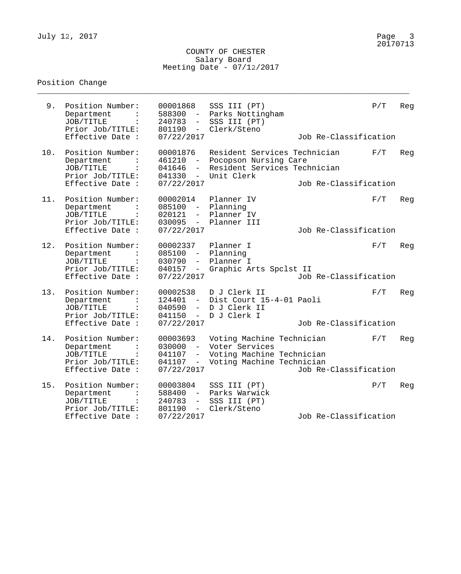### COUNTY OF CHESTER Salary Board Meeting Date - 07/12/2017

\_\_\_\_\_\_\_\_\_\_\_\_\_\_\_\_\_\_\_\_\_\_\_\_\_\_\_\_\_\_\_\_\_\_\_\_\_\_\_\_\_\_\_\_\_\_\_\_\_\_\_\_\_\_\_\_\_\_\_\_\_\_\_\_\_\_\_\_\_\_\_\_\_\_\_\_\_\_\_\_

# Position Change

| 9.  | Position Number:<br>Department<br>JOB/TITLE<br>Prior Job/TITLE:<br>Effective Date :                   | 00001868<br>588300<br>$\sim$<br>240783<br>$ \,$<br>801190<br>$\sim$<br>07/22/2017                | SSS III (PT)<br>Parks Nottingham<br>SSS III (PT)<br>Clerk/Steno                                       | Job Re-Classification | P/T | Reg |
|-----|-------------------------------------------------------------------------------------------------------|--------------------------------------------------------------------------------------------------|-------------------------------------------------------------------------------------------------------|-----------------------|-----|-----|
| 10. | Position Number:<br>Department<br>JOB/TITLE<br>Prior Job/TITLE:<br>Effective Date :                   | 00001876<br>461210<br>041646<br>$ \,$<br>041330<br>$-$<br>07/22/2017                             | Resident Services Technician<br>Pocopson Nursing Care<br>Resident Services Technician<br>Unit Clerk   | Job Re-Classification | F/T | Reg |
| 11. | Position Number:<br>Department<br>JOB/TITLE<br>Prior Job/TITLE:<br>Effective Date :                   | 00002014<br>085100<br>$ \,$<br>020121<br>$-$<br>030095<br>$ \,$<br>07/22/2017                    | Planner IV<br>Planning<br>Planner IV<br>Planner III                                                   | Job Re-Classification | F/T | Reg |
| 12. | Position Number:<br>Department<br>JOB/TITLE<br>Prior Job/TITLE:<br>Effective Date :                   | 00002337<br>085100<br>$\sim$ $-$<br>030790<br>$-$<br>040157<br>$ \,$<br>07/22/2017               | Planner I<br>Planning<br>Planner I<br>Graphic Arts Spclst II                                          | Job Re-Classification | F/T | Reg |
| 13. | Position Number:<br>Department<br>JOB/TITLE<br>Prior Job/TITLE:<br>Effective Date :                   | 00002538<br>124401<br>$\sim$<br>040590<br>$-$<br>041150<br>$ \,$<br>07/22/2017                   | D J Clerk II<br>Dist Court 15-4-01 Paoli<br>D J Clerk II<br>D J Clerk I                               | Job Re-Classification | F/T | Reg |
| 14. | Position Number:<br>Department<br>JOB/TITLE<br>Prior Job/TITLE:<br>Effective Date :                   | 00003693<br>030000<br>$-$<br>041107<br>$\overline{\phantom{0}}$<br>041107<br>$ \,$<br>07/22/2017 | Voting Machine Technician<br>Voter Services<br>Voting Machine Technician<br>Voting Machine Technician | Job Re-Classification | F/T | Reg |
| 15. | Position Number:<br>Department<br>JOB/TITLE<br>$\ddot{\cdot}$<br>Prior Job/TITLE:<br>Effective Date : | 00003804<br>588400<br>$ \,$<br>240783<br>$-$<br>801190<br>$ \,$<br>07/22/2017                    | SSS III (PT)<br>Parks Warwick<br>SSS III (PT)<br>Clerk/Steno                                          | Job Re-Classification | P/T | Reg |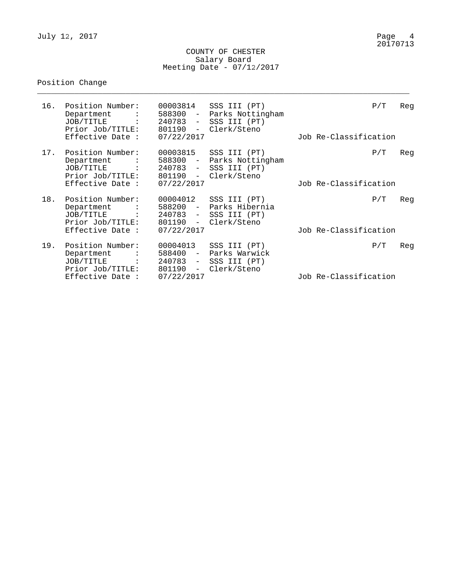July 12, 2017

### COUNTY OF CHESTER Salary Board Meeting Date - 07/12/2017

\_\_\_\_\_\_\_\_\_\_\_\_\_\_\_\_\_\_\_\_\_\_\_\_\_\_\_\_\_\_\_\_\_\_\_\_\_\_\_\_\_\_\_\_\_\_\_\_\_\_\_\_\_\_\_\_\_\_\_\_\_\_\_\_\_\_\_\_\_\_\_\_\_\_\_\_\_\_\_\_

# Position Change

| 16. | Position Number:<br>Department<br>JOB/TITLE :<br>Prior Job/TITLE:<br>Effective Date :                 | 00003814<br>588300 -<br>240783 -<br>801190<br>$\sim$<br>07/22/2017                             | SSS III (PT)<br>Parks Nottingham<br>SSS III (PT)<br>Clerk/Steno | P/T<br>Job Re-Classification | Reg |
|-----|-------------------------------------------------------------------------------------------------------|------------------------------------------------------------------------------------------------|-----------------------------------------------------------------|------------------------------|-----|
| 17. | Position Number:<br>Department<br>JOB/TITLE<br>Prior Job/TITLE:<br>Effective Date :                   | 00003815<br>588300<br>$ \,$<br>$240783 -$<br>801190<br>$\sim$<br>07/22/2017                    | SSS III (PT)<br>Parks Nottingham<br>SSS III (PT)<br>Clerk/Steno | P/T<br>Job Re-Classification | Reg |
| 18. | Position Number:<br>Department<br>JOB/TITLE<br>Prior Job/TITLE:<br>Effective Date :                   | 00004012<br>588200 -<br>$240783 -$<br>801190<br>$\sim$<br>07/22/2017                           | SSS III (PT)<br>Parks Hibernia<br>SSS III (PT)<br>Clerk/Steno   | P/T<br>Job Re-Classification | Reg |
| 19. | Position Number:<br>Department<br>$\ddot{\cdot}$<br>JOB/TITLE<br>Prior Job/TITLE:<br>Effective Date : | 00004013<br>588400<br>$\overline{\phantom{m}}$<br>$240783 -$<br>801190<br>$\sim$<br>07/22/2017 | SSS III (PT)<br>Parks Warwick<br>SSS III (PT)<br>Clerk/Steno    | P/T<br>Job Re-Classification | Reg |